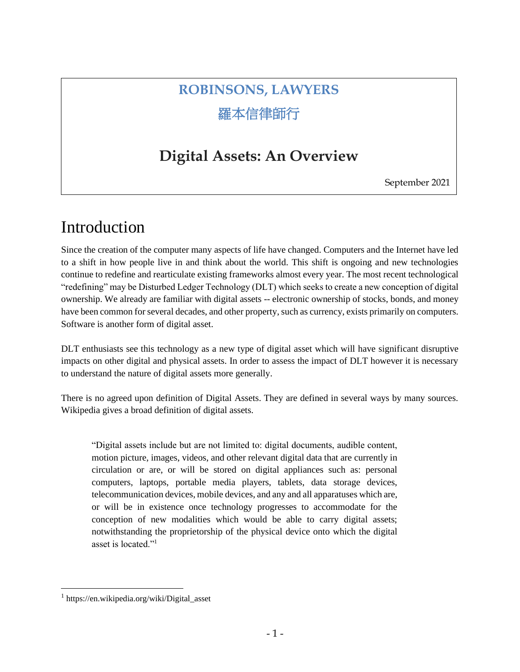# **ROBINSONS, LAWYERS** 羅本信律師行

## **Digital Assets: An Overview**

September 2021

## Introduction

Since the creation of the computer many aspects of life have changed. Computers and the Internet have led to a shift in how people live in and think about the world. This shift is ongoing and new technologies continue to redefine and rearticulate existing frameworks almost every year. The most recent technological "redefining" may be Disturbed Ledger Technology (DLT) which seeks to create a new conception of digital ownership. We already are familiar with digital assets -- electronic ownership of stocks, bonds, and money have been common for several decades, and other property, such as currency, exists primarily on computers. Software is another form of digital asset.

DLT enthusiasts see this technology as a new type of digital asset which will have significant disruptive impacts on other digital and physical assets. In order to assess the impact of DLT however it is necessary to understand the nature of digital assets more generally.

There is no agreed upon definition of Digital Assets. They are defined in several ways by many sources. Wikipedia gives a broad definition of digital assets.

"Digital assets include but are not limited to: digital documents, audible content, motion picture, images, videos, and other relevant digital data that are currently in circulation or are, or will be stored on digital appliances such as: personal computers, laptops, portable media players, tablets, data storage devices, telecommunication devices, mobile devices, and any and all apparatuses which are, or will be in existence once technology progresses to accommodate for the conception of new modalities which would be able to carry digital assets; notwithstanding the proprietorship of the physical device onto which the digital asset is located."<sup>1</sup>

<sup>1</sup> https://en.wikipedia.org/wiki/Digital\_asset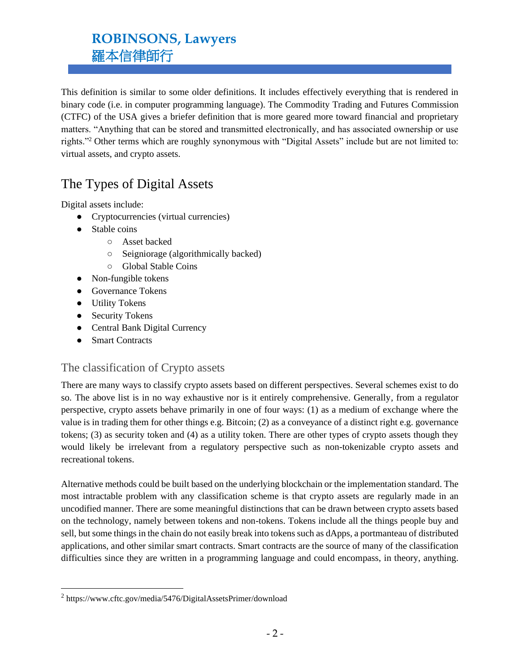This definition is similar to some older definitions. It includes effectively everything that is rendered in binary code (i.e. in computer programming language). The Commodity Trading and Futures Commission (CTFC) of the USA gives a briefer definition that is more geared more toward financial and proprietary matters. "Anything that can be stored and transmitted electronically, and has associated ownership or use rights."<sup>2</sup> Other terms which are roughly synonymous with "Digital Assets" include but are not limited to: virtual assets, and crypto assets.

### The Types of Digital Assets

Digital assets include:

- Cryptocurrencies (virtual currencies)
- Stable coins
	- Asset backed
	- Seigniorage (algorithmically backed)
	- Global Stable Coins
- Non-fungible tokens
- Governance Tokens
- Utility Tokens
- Security Tokens
- Central Bank Digital Currency
- Smart Contracts

### The classification of Crypto assets

There are many ways to classify crypto assets based on different perspectives. Several schemes exist to do so. The above list is in no way exhaustive nor is it entirely comprehensive. Generally, from a regulator perspective, crypto assets behave primarily in one of four ways: (1) as a medium of exchange where the value is in trading them for other things e.g. Bitcoin; (2) as a conveyance of a distinct right e.g. governance tokens; (3) as security token and (4) as a utility token. There are other types of crypto assets though they would likely be irrelevant from a regulatory perspective such as non-tokenizable crypto assets and recreational tokens.

Alternative methods could be built based on the underlying blockchain or the implementation standard. The most intractable problem with any classification scheme is that crypto assets are regularly made in an uncodified manner. There are some meaningful distinctions that can be drawn between crypto assets based on the technology, namely between tokens and non-tokens. Tokens include all the things people buy and sell, but some things in the chain do not easily break into tokens such as dApps, a portmanteau of distributed applications, and other similar smart contracts. Smart contracts are the source of many of the classification difficulties since they are written in a programming language and could encompass, in theory, anything.

<sup>&</sup>lt;sup>2</sup> https://www.cftc.gov/media/5476/DigitalAssetsPrimer/download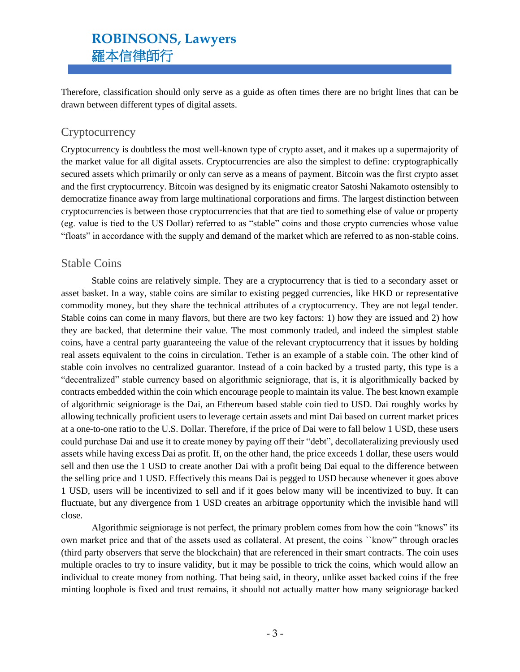Therefore, classification should only serve as a guide as often times there are no bright lines that can be drawn between different types of digital assets.

#### **Cryptocurrency**

Cryptocurrency is doubtless the most well-known type of crypto asset, and it makes up a supermajority of the market value for all digital assets. Cryptocurrencies are also the simplest to define: cryptographically secured assets which primarily or only can serve as a means of payment. Bitcoin was the first crypto asset and the first cryptocurrency. Bitcoin was designed by its enigmatic creator Satoshi Nakamoto ostensibly to democratize finance away from large multinational corporations and firms. The largest distinction between cryptocurrencies is between those cryptocurrencies that that are tied to something else of value or property (eg. value is tied to the US Dollar) referred to as "stable" coins and those crypto currencies whose value "floats" in accordance with the supply and demand of the market which are referred to as non-stable coins.

#### Stable Coins

Stable coins are relatively simple. They are a cryptocurrency that is tied to a secondary asset or asset basket. In a way, stable coins are similar to existing pegged currencies, like HKD or representative commodity money, but they share the technical attributes of a cryptocurrency. They are not legal tender. Stable coins can come in many flavors, but there are two key factors: 1) how they are issued and 2) how they are backed, that determine their value. The most commonly traded, and indeed the simplest stable coins, have a central party guaranteeing the value of the relevant cryptocurrency that it issues by holding real assets equivalent to the coins in circulation. Tether is an example of a stable coin. The other kind of stable coin involves no centralized guarantor. Instead of a coin backed by a trusted party, this type is a "decentralized" stable currency based on algorithmic seigniorage, that is, it is algorithmically backed by contracts embedded within the coin which encourage people to maintain its value. The best known example of algorithmic seigniorage is the Dai, an Ethereum based stable coin tied to USD. Dai roughly works by allowing technically proficient users to leverage certain assets and mint Dai based on current market prices at a one-to-one ratio to the U.S. Dollar. Therefore, if the price of Dai were to fall below 1 USD, these users could purchase Dai and use it to create money by paying off their "debt", decollateralizing previously used assets while having excess Dai as profit. If, on the other hand, the price exceeds 1 dollar, these users would sell and then use the 1 USD to create another Dai with a profit being Dai equal to the difference between the selling price and 1 USD. Effectively this means Dai is pegged to USD because whenever it goes above 1 USD, users will be incentivized to sell and if it goes below many will be incentivized to buy. It can fluctuate, but any divergence from 1 USD creates an arbitrage opportunity which the invisible hand will close.

Algorithmic seigniorage is not perfect, the primary problem comes from how the coin "knows" its own market price and that of the assets used as collateral. At present, the coins ``know" through oracles (third party observers that serve the blockchain) that are referenced in their smart contracts. The coin uses multiple oracles to try to insure validity, but it may be possible to trick the coins, which would allow an individual to create money from nothing. That being said, in theory, unlike asset backed coins if the free minting loophole is fixed and trust remains, it should not actually matter how many seigniorage backed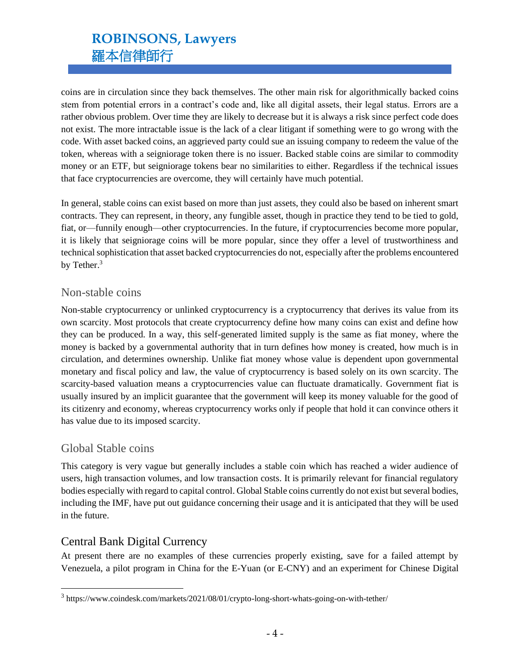coins are in circulation since they back themselves. The other main risk for algorithmically backed coins stem from potential errors in a contract's code and, like all digital assets, their legal status. Errors are a rather obvious problem. Over time they are likely to decrease but it is always a risk since perfect code does not exist. The more intractable issue is the lack of a clear litigant if something were to go wrong with the code. With asset backed coins, an aggrieved party could sue an issuing company to redeem the value of the token, whereas with a seigniorage token there is no issuer. Backed stable coins are similar to commodity money or an ETF, but seigniorage tokens bear no similarities to either. Regardless if the technical issues that face cryptocurrencies are overcome, they will certainly have much potential.

In general, stable coins can exist based on more than just assets, they could also be based on inherent smart contracts. They can represent, in theory, any fungible asset, though in practice they tend to be tied to gold, fiat, or—funnily enough—other cryptocurrencies. In the future, if cryptocurrencies become more popular, it is likely that seigniorage coins will be more popular, since they offer a level of trustworthiness and technical sophistication that asset backed cryptocurrencies do not, especially after the problems encountered by Tether.<sup>3</sup>

#### Non-stable coins

Non-stable cryptocurrency or unlinked cryptocurrency is a cryptocurrency that derives its value from its own scarcity. Most protocols that create cryptocurrency define how many coins can exist and define how they can be produced. In a way, this self-generated limited supply is the same as fiat money, where the money is backed by a governmental authority that in turn defines how money is created, how much is in circulation, and determines ownership. Unlike fiat money whose value is dependent upon governmental monetary and fiscal policy and law, the value of cryptocurrency is based solely on its own scarcity. The scarcity-based valuation means a cryptocurrencies value can fluctuate dramatically. Government fiat is usually insured by an implicit guarantee that the government will keep its money valuable for the good of its citizenry and economy, whereas cryptocurrency works only if people that hold it can convince others it has value due to its imposed scarcity.

#### Global Stable coins

This category is very vague but generally includes a stable coin which has reached a wider audience of users, high transaction volumes, and low transaction costs. It is primarily relevant for financial regulatory bodies especially with regard to capital control. Global Stable coins currently do not exist but several bodies, including the IMF, have put out guidance concerning their usage and it is anticipated that they will be used in the future.

### Central Bank Digital Currency

At present there are no examples of these currencies properly existing, save for a failed attempt by Venezuela, a pilot program in China for the E-Yuan (or E-CNY) and an experiment for Chinese Digital

<sup>&</sup>lt;sup>3</sup> https://www.coindesk.com/markets/2021/08/01/crypto-long-short-whats-going-on-with-tether/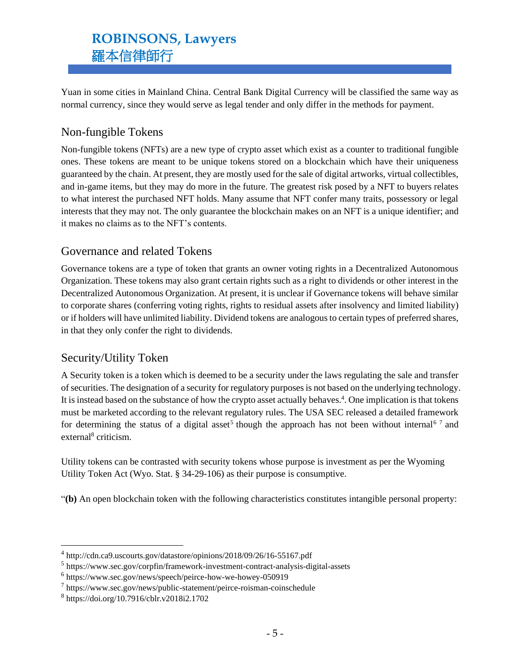Yuan in some cities in Mainland China. Central Bank Digital Currency will be classified the same way as normal currency, since they would serve as legal tender and only differ in the methods for payment.

### Non-fungible Tokens

Non-fungible tokens (NFTs) are a new type of crypto asset which exist as a counter to traditional fungible ones. These tokens are meant to be unique tokens stored on a blockchain which have their uniqueness guaranteed by the chain. At present, they are mostly used for the sale of digital artworks, virtual collectibles, and in-game items, but they may do more in the future. The greatest risk posed by a NFT to buyers relates to what interest the purchased NFT holds. Many assume that NFT confer many traits, possessory or legal interests that they may not. The only guarantee the blockchain makes on an NFT is a unique identifier; and it makes no claims as to the NFT's contents.

### Governance and related Tokens

Governance tokens are a type of token that grants an owner voting rights in a Decentralized Autonomous Organization. These tokens may also grant certain rights such as a right to dividends or other interest in the Decentralized Autonomous Organization. At present, it is unclear if Governance tokens will behave similar to corporate shares (conferring voting rights, rights to residual assets after insolvency and limited liability) or if holders will have unlimited liability. Dividend tokens are analogous to certain types of preferred shares, in that they only confer the right to dividends.

### Security/Utility Token

A Security token is a token which is deemed to be a security under the laws regulating the sale and transfer of securities. The designation of a security for regulatory purposes is not based on the underlying technology. It is instead based on the substance of how the crypto asset actually behaves.<sup>4</sup>. One implication is that tokens must be marketed according to the relevant regulatory rules. The USA SEC released a detailed framework for determining the status of a digital asset<sup>5</sup> though the approach has not been without internal<sup>67</sup> and external<sup>8</sup> criticism.

Utility tokens can be contrasted with security tokens whose purpose is investment as per the Wyoming Utility Token Act (Wyo. Stat. § 34-29-106) as their purpose is consumptive.

"**(b)** An open blockchain token with the following characteristics constitutes intangible personal property:

<sup>4</sup> http://cdn.ca9.uscourts.gov/datastore/opinions/2018/09/26/16-55167.pdf

<sup>5</sup> https://www.sec.gov/corpfin/framework-investment-contract-analysis-digital-assets

<sup>6</sup> https://www.sec.gov/news/speech/peirce-how-we-howey-050919

<sup>7</sup> https://www.sec.gov/news/public-statement/peirce-roisman-coinschedule

<sup>8</sup> https://doi.org/10.7916/cblr.v2018i2.1702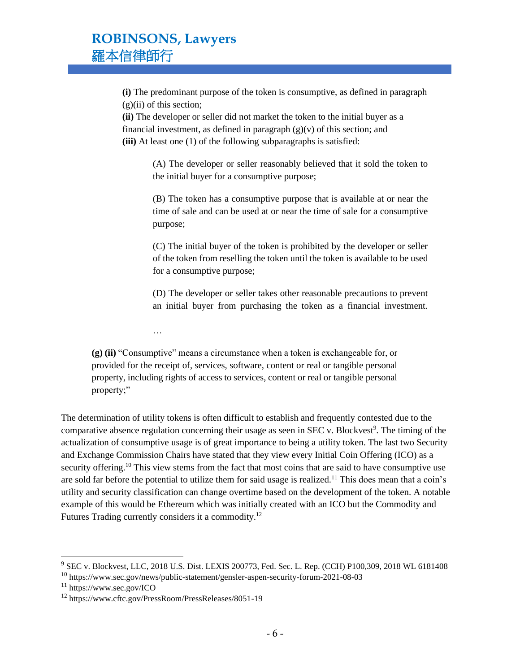**(i)** The predominant purpose of the token is consumptive, as defined in paragraph  $(g)(ii)$  of this section;

**(ii)** The developer or seller did not market the token to the initial buyer as a financial investment, as defined in paragraph  $(g)(v)$  of this section; and **(iii)** At least one (1) of the following subparagraphs is satisfied:

> (A) The developer or seller reasonably believed that it sold the token to the initial buyer for a consumptive purpose;

> (B) The token has a consumptive purpose that is available at or near the time of sale and can be used at or near the time of sale for a consumptive purpose;

> (C) The initial buyer of the token is prohibited by the developer or seller of the token from reselling the token until the token is available to be used for a consumptive purpose;

> (D) The developer or seller takes other reasonable precautions to prevent an initial buyer from purchasing the token as a financial investment.

…

**(g) (ii)** "Consumptive" means a circumstance when a token is exchangeable for, or provided for the receipt of, services, software, content or real or tangible personal property, including rights of access to services, content or real or tangible personal property;"

The determination of utility tokens is often difficult to establish and frequently contested due to the comparative absence regulation concerning their usage as seen in SEC v. Blockvest<sup>9</sup>. The timing of the actualization of consumptive usage is of great importance to being a utility token. The last two Security and Exchange Commission Chairs have stated that they view every Initial Coin Offering (ICO) as a security offering.<sup>10</sup> This view stems from the fact that most coins that are said to have consumptive use are sold far before the potential to utilize them for said usage is realized.<sup>11</sup> This does mean that a coin's utility and security classification can change overtime based on the development of the token. A notable example of this would be Ethereum which was initially created with an ICO but the Commodity and Futures Trading currently considers it a commodity.<sup>12</sup>

<sup>9</sup> SEC v. Blockvest, LLC, 2018 U.S. Dist. LEXIS 200773, Fed. Sec. L. Rep. (CCH) P100,309, 2018 WL 6181408

<sup>10</sup> https://www.sec.gov/news/public-statement/gensler-aspen-security-forum-2021-08-03

<sup>11</sup> https://www.sec.gov/ICO

<sup>12</sup> https://www.cftc.gov/PressRoom/PressReleases/8051-19